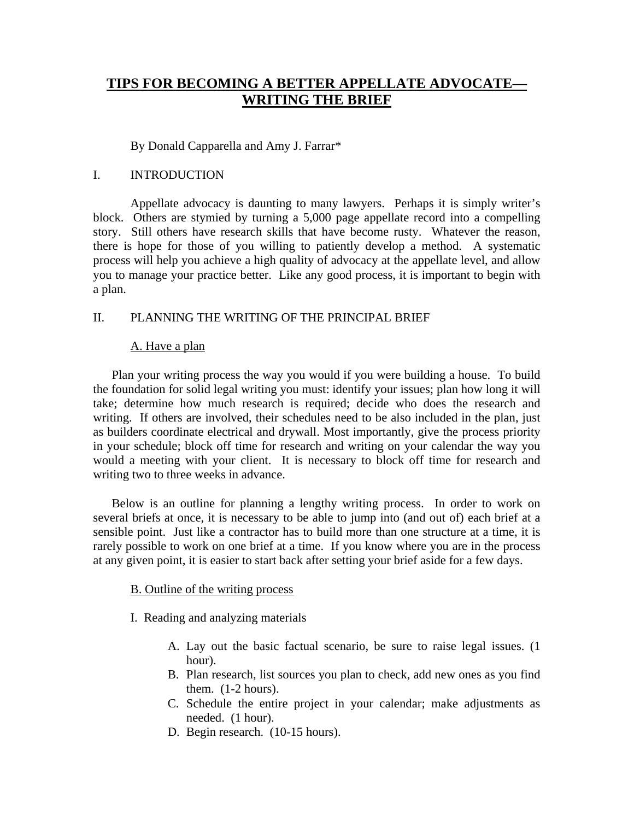# **TIPS FOR BECOMING A BETTER APPELLATE ADVOCATE— WRITING THE BRIEF**

By Donald Capparella and Amy J. Farrar\*

## I. INTRODUCTION

 Appellate advocacy is daunting to many lawyers. Perhaps it is simply writer's block. Others are stymied by turning a 5,000 page appellate record into a compelling story. Still others have research skills that have become rusty. Whatever the reason, there is hope for those of you willing to patiently develop a method. A systematic process will help you achieve a high quality of advocacy at the appellate level, and allow you to manage your practice better. Like any good process, it is important to begin with a plan.

# II. PLANNING THE WRITING OF THE PRINCIPAL BRIEF

# A. Have a plan

Plan your writing process the way you would if you were building a house. To build the foundation for solid legal writing you must: identify your issues; plan how long it will take; determine how much research is required; decide who does the research and writing. If others are involved, their schedules need to be also included in the plan, just as builders coordinate electrical and drywall. Most importantly, give the process priority in your schedule; block off time for research and writing on your calendar the way you would a meeting with your client. It is necessary to block off time for research and writing two to three weeks in advance.

Below is an outline for planning a lengthy writing process. In order to work on several briefs at once, it is necessary to be able to jump into (and out of) each brief at a sensible point. Just like a contractor has to build more than one structure at a time, it is rarely possible to work on one brief at a time. If you know where you are in the process at any given point, it is easier to start back after setting your brief aside for a few days.

## B. Outline of the writing process

I. Reading and analyzing materials

- A. Lay out the basic factual scenario, be sure to raise legal issues. (1 hour).
- B. Plan research, list sources you plan to check, add new ones as you find them. (1-2 hours).
- C. Schedule the entire project in your calendar; make adjustments as needed. (1 hour).
- D. Begin research. (10-15 hours).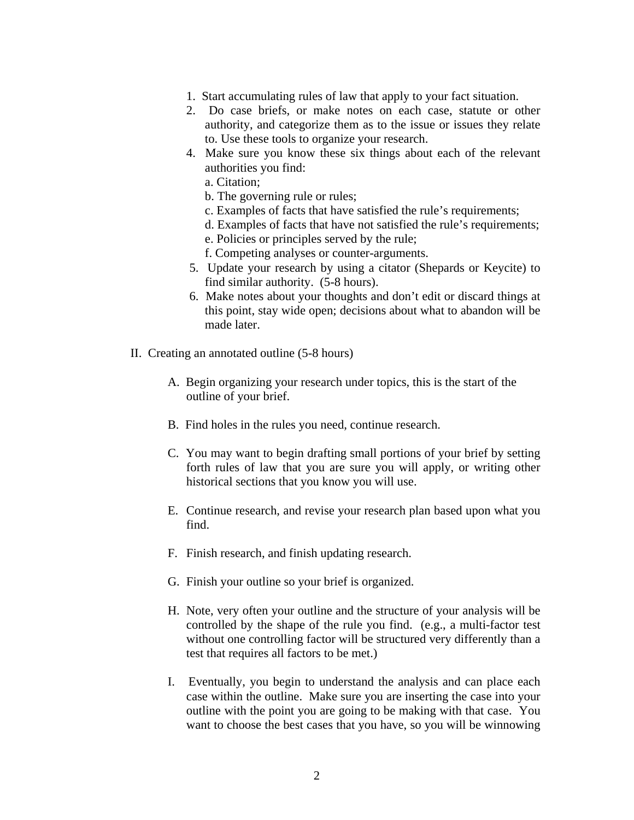- 1. Start accumulating rules of law that apply to your fact situation.
- 2. Do case briefs, or make notes on each case, statute or other authority, and categorize them as to the issue or issues they relate to. Use these tools to organize your research.
- 4. Make sure you know these six things about each of the relevant authorities you find:
	- a. Citation;
	- b. The governing rule or rules;
	- c. Examples of facts that have satisfied the rule's requirements;
	- d. Examples of facts that have not satisfied the rule's requirements;
	- e. Policies or principles served by the rule;
	- f. Competing analyses or counter-arguments.
- 5. Update your research by using a citator (Shepards or Keycite) to find similar authority. (5-8 hours).
- 6. Make notes about your thoughts and don't edit or discard things at this point, stay wide open; decisions about what to abandon will be made later.
- II. Creating an annotated outline (5-8 hours)
	- A. Begin organizing your research under topics, this is the start of the outline of your brief.
	- B. Find holes in the rules you need, continue research.
	- C. You may want to begin drafting small portions of your brief by setting forth rules of law that you are sure you will apply, or writing other historical sections that you know you will use.
	- E. Continue research, and revise your research plan based upon what you find.
	- F. Finish research, and finish updating research.
	- G. Finish your outline so your brief is organized.
	- H. Note, very often your outline and the structure of your analysis will be controlled by the shape of the rule you find. (e.g., a multi-factor test without one controlling factor will be structured very differently than a test that requires all factors to be met.)
	- I. Eventually, you begin to understand the analysis and can place each case within the outline. Make sure you are inserting the case into your outline with the point you are going to be making with that case. You want to choose the best cases that you have, so you will be winnowing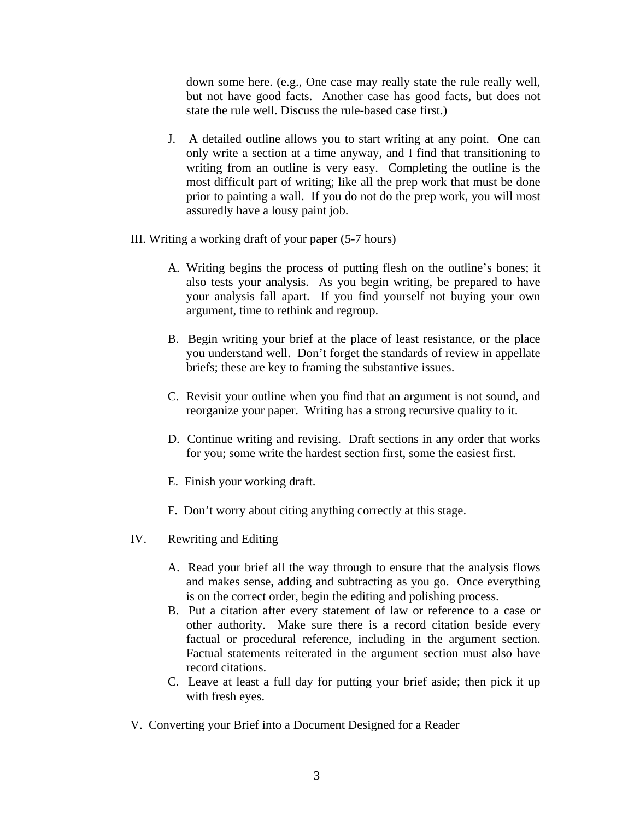down some here. (e.g., One case may really state the rule really well, but not have good facts. Another case has good facts, but does not state the rule well. Discuss the rule-based case first.)

- J. A detailed outline allows you to start writing at any point. One can only write a section at a time anyway, and I find that transitioning to writing from an outline is very easy. Completing the outline is the most difficult part of writing; like all the prep work that must be done prior to painting a wall. If you do not do the prep work, you will most assuredly have a lousy paint job.
- III. Writing a working draft of your paper (5-7 hours)
	- A. Writing begins the process of putting flesh on the outline's bones; it also tests your analysis. As you begin writing, be prepared to have your analysis fall apart. If you find yourself not buying your own argument, time to rethink and regroup.
	- B. Begin writing your brief at the place of least resistance, or the place you understand well. Don't forget the standards of review in appellate briefs; these are key to framing the substantive issues.
	- C. Revisit your outline when you find that an argument is not sound, and reorganize your paper. Writing has a strong recursive quality to it.
	- D. Continue writing and revising. Draft sections in any order that works for you; some write the hardest section first, some the easiest first.
	- E. Finish your working draft.
	- F. Don't worry about citing anything correctly at this stage.
- IV. Rewriting and Editing
	- A. Read your brief all the way through to ensure that the analysis flows and makes sense, adding and subtracting as you go. Once everything is on the correct order, begin the editing and polishing process.
	- B. Put a citation after every statement of law or reference to a case or other authority. Make sure there is a record citation beside every factual or procedural reference, including in the argument section. Factual statements reiterated in the argument section must also have record citations.
	- C. Leave at least a full day for putting your brief aside; then pick it up with fresh eyes.
- V. Converting your Brief into a Document Designed for a Reader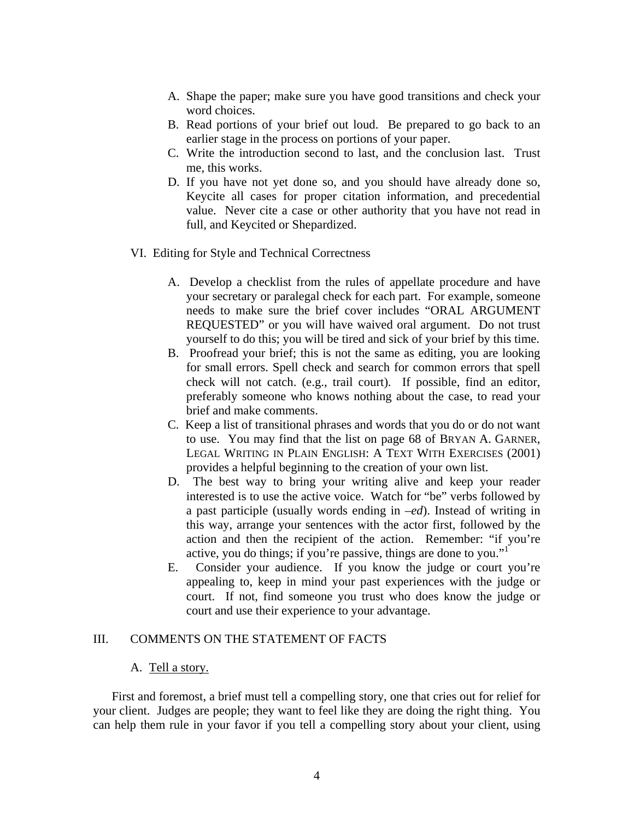- A. Shape the paper; make sure you have good transitions and check your word choices.
- B. Read portions of your brief out loud. Be prepared to go back to an earlier stage in the process on portions of your paper.
- C. Write the introduction second to last, and the conclusion last. Trust me, this works.
- D. If you have not yet done so, and you should have already done so, Keycite all cases for proper citation information, and precedential value. Never cite a case or other authority that you have not read in full, and Keycited or Shepardized.
- VI. Editing for Style and Technical Correctness
	- A. Develop a checklist from the rules of appellate procedure and have your secretary or paralegal check for each part. For example, someone needs to make sure the brief cover includes "ORAL ARGUMENT REQUESTED" or you will have waived oral argument. Do not trust yourself to do this; you will be tired and sick of your brief by this time.
	- B. Proofread your brief; this is not the same as editing, you are looking for small errors. Spell check and search for common errors that spell check will not catch. (e.g., trail court). If possible, find an editor, preferably someone who knows nothing about the case, to read your brief and make comments.
	- C. Keep a list of transitional phrases and words that you do or do not want to use. You may find that the list on page 68 of BRYAN A. GARNER, LEGAL WRITING IN PLAIN ENGLISH: A TEXT WITH EXERCISES (2001) provides a helpful beginning to the creation of your own list.
	- D. The best way to bring your writing alive and keep your reader interested is to use the active voice. Watch for "be" verbs followed by a past participle (usually words ending in –*ed*). Instead of writing in this way, arrange your sentences with the actor first, followed by the action and then the recipient of the action. Remember: "if you're active, you do things; if you're passive, things are done to you."
	- E. Consider your audience. If you know the judge or court you're appealing to, keep in mind your past experiences with the judge or court. If not, find someone you trust who does know the judge or court and use their experience to your advantage.

## III. COMMENTS ON THE STATEMENT OF FACTS

#### A. Tell a story.

First and foremost, a brief must tell a compelling story, one that cries out for relief for your client. Judges are people; they want to feel like they are doing the right thing. You can help them rule in your favor if you tell a compelling story about your client, using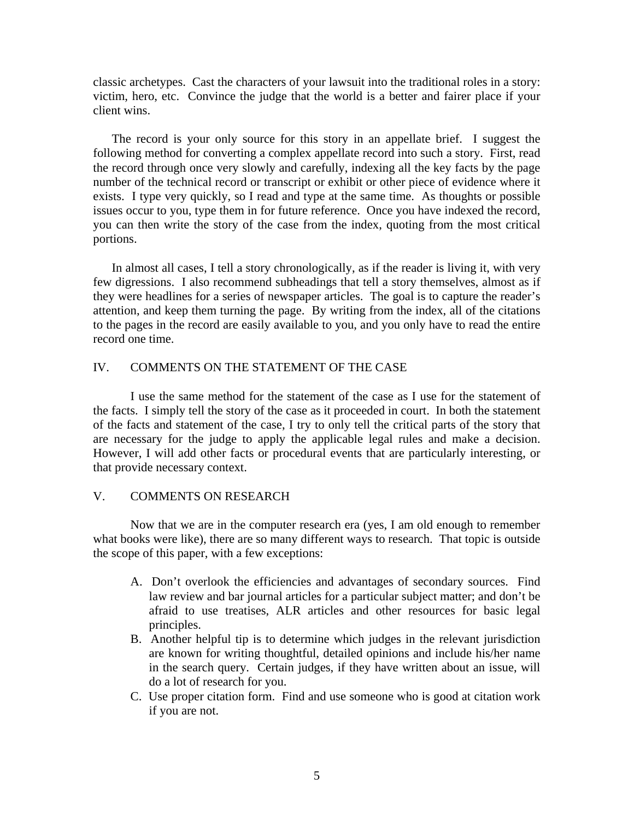classic archetypes. Cast the characters of your lawsuit into the traditional roles in a story: victim, hero, etc. Convince the judge that the world is a better and fairer place if your client wins.

The record is your only source for this story in an appellate brief. I suggest the following method for converting a complex appellate record into such a story. First, read the record through once very slowly and carefully, indexing all the key facts by the page number of the technical record or transcript or exhibit or other piece of evidence where it exists. I type very quickly, so I read and type at the same time. As thoughts or possible issues occur to you, type them in for future reference. Once you have indexed the record, you can then write the story of the case from the index, quoting from the most critical portions.

In almost all cases, I tell a story chronologically, as if the reader is living it, with very few digressions. I also recommend subheadings that tell a story themselves, almost as if they were headlines for a series of newspaper articles. The goal is to capture the reader's attention, and keep them turning the page. By writing from the index, all of the citations to the pages in the record are easily available to you, and you only have to read the entire record one time.

#### IV. COMMENTS ON THE STATEMENT OF THE CASE

 I use the same method for the statement of the case as I use for the statement of the facts. I simply tell the story of the case as it proceeded in court. In both the statement of the facts and statement of the case, I try to only tell the critical parts of the story that are necessary for the judge to apply the applicable legal rules and make a decision. However, I will add other facts or procedural events that are particularly interesting, or that provide necessary context.

#### V. COMMENTS ON RESEARCH

 Now that we are in the computer research era (yes, I am old enough to remember what books were like), there are so many different ways to research. That topic is outside the scope of this paper, with a few exceptions:

- A. Don't overlook the efficiencies and advantages of secondary sources. Find law review and bar journal articles for a particular subject matter; and don't be afraid to use treatises, ALR articles and other resources for basic legal principles.
- B. Another helpful tip is to determine which judges in the relevant jurisdiction are known for writing thoughtful, detailed opinions and include his/her name in the search query. Certain judges, if they have written about an issue, will do a lot of research for you.
- C. Use proper citation form. Find and use someone who is good at citation work if you are not.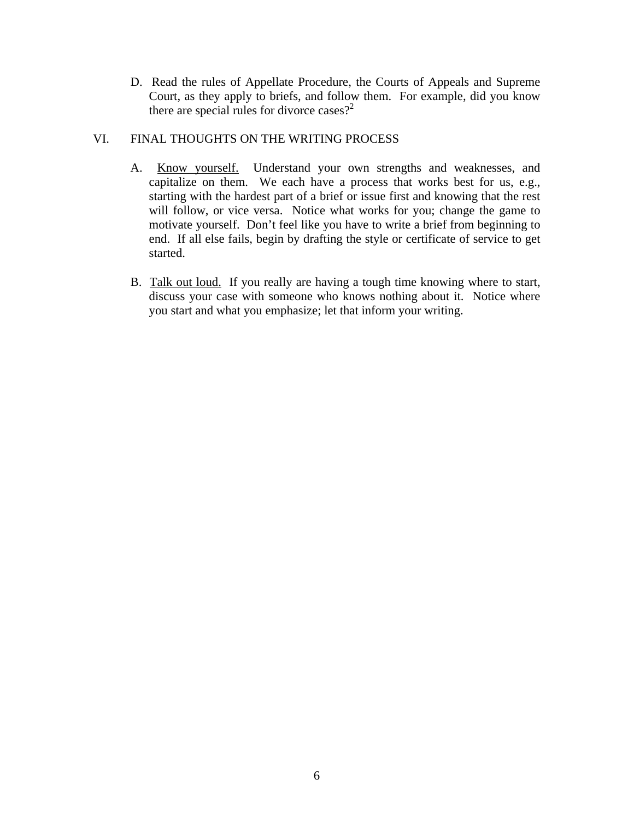D. Read the rules of Appellate Procedure, the Courts of Appeals and Supreme Court, as they apply to briefs, and follow them. For example, did you know there are special rules for divorce cases?<sup>2</sup>

# VI. FINAL THOUGHTS ON THE WRITING PROCESS

- A. Know yourself. Understand your own strengths and weaknesses, and capitalize on them. We each have a process that works best for us, e.g., starting with the hardest part of a brief or issue first and knowing that the rest will follow, or vice versa. Notice what works for you; change the game to motivate yourself. Don't feel like you have to write a brief from beginning to end. If all else fails, begin by drafting the style or certificate of service to get started.
- B. Talk out loud. If you really are having a tough time knowing where to start, discuss your case with someone who knows nothing about it. Notice where you start and what you emphasize; let that inform your writing.